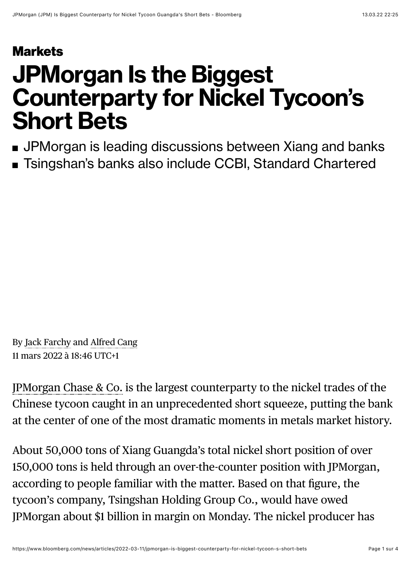## **[Markets](https://www.bloomberg.com/markets?source=eyebrow)**

## **JPMorgan Is the Biggest Counterparty for Nickel Tycoon's Short Bets**

- **JPMorgan is leading discussions between Xiang and banks**
- Tsingshan's banks also include CCBI, Standard Chartered

By [Jack Farchy](https://www.bloomberg.com/authors/ATL6bAAgoVY/jack-farchy) and [Alfred Cang](https://www.bloomberg.com/authors/APzICHkxM-E/alfred-cang) 11 mars 2022 à 18:46 UTC+1

[JPMorgan Chase & Co.](https://www.bloomberg.com/quote/JPM:US) is the largest counterparty to the nickel trades of the Chinese tycoon caught in an unprecedented short squeeze, putting the bank at the center of one of the most dramatic moments in metals market history.

About 50,000 tons of Xiang Guangda's total nickel short position of over 150,000 tons is held through an over-the-counter position with JPMorgan, according to people familiar with the matter. Based on that figure, the tycoon's company, Tsingshan Holding Group Co., would have owed JPMorgan about \$1 billion in margin on Monday. The nickel producer has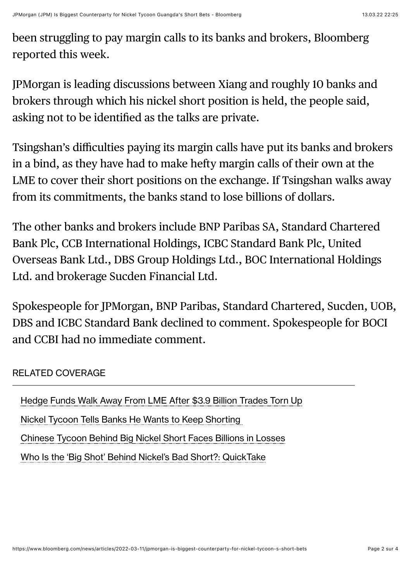been struggling to pay margin calls to its banks and brokers, Bloomberg reported this week.

JPMorgan is leading discussions between Xiang and roughly 10 banks and brokers through which his nickel short position is held, the people said, asking not to be identified as the talks are private.

Tsingshan's difficulties paying its margin calls have put its banks and brokers in a bind, as they have had to make hefty margin calls of their own at the LME to cover their short positions on the exchange. If Tsingshan walks away from its commitments, the banks stand to lose billions of dollars.

The other banks and brokers include BNP Paribas SA, Standard Chartered Bank Plc, CCB International Holdings, ICBC Standard Bank Plc, United Overseas Bank Ltd., DBS Group Holdings Ltd., BOC International Holdings Ltd. and brokerage Sucden Financial Ltd.

Spokespeople for JPMorgan, BNP Paribas, Standard Chartered, Sucden, UOB, DBS and ICBC Standard Bank declined to comment. Spokespeople for BOCI and CCBI had no immediate comment.

## RELATED COVERAGE

[Hedge Funds Walk Away From LME After \\$3.9 Billion Trades Torn Up](https://www.bloomberg.com/news/articles/2022-03-10/hedge-funds-walk-away-from-lme-after-3-9-billion-trades-torn-up) [Nickel Tycoon Tells Banks He Wants to Keep Shorting](https://www.bloomberg.com/news/articles/2022-03-10/chinese-tycoon-tells-banks-he-wants-to-keep-shorting-nickel)  [Chinese Tycoon Behind Big Nickel Short Faces Billions in Losses](https://www.bloomberg.com/news/articles/2022-03-08/chinese-tycoon-behind-big-nickel-short-faces-billions-in-losses) [Who Is the 'Big Shot' Behind Nickel's Bad Short?: QuickTake](https://www.bloomberg.com/news/articles/2022-03-11/who-is-the-big-shot-behind-nickel-s-bad-short-quicktake)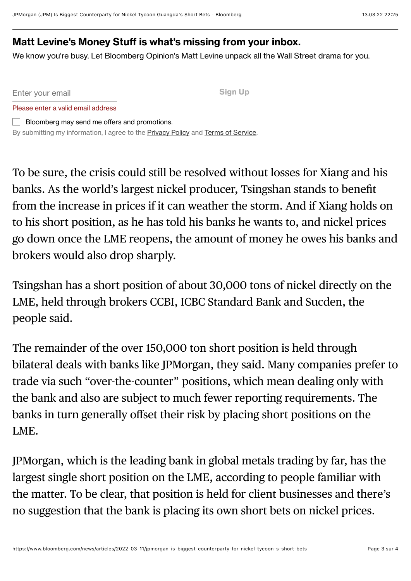## **Matt Levine's Money Stuff is what's missing from your inbox.**

We know you're busy. Let Bloomberg Opinion's Matt Levine unpack all the Wall Street drama for you.

Enter your email

Please enter a valid email address

**Sign Up**

 $\Box$  Bloomberg may send me offers and promotions. By submitting my information, I agree to the [Privacy Policy](https://www.bloomberg.com/notices/privacy/) and [Terms of Service](https://www.bloomberg.com/notices/tos/?in_source=hp-nav).

To be sure, the crisis could still be resolved without losses for Xiang and his banks. As the world's largest nickel producer, Tsingshan stands to benefit from the increase in prices if it can weather the storm. And if Xiang holds on to his short position, as he has told his banks he wants to, and nickel prices go down once the LME reopens, the amount of money he owes his banks and brokers would also drop sharply.

Tsingshan has a short position of about 30,000 tons of nickel directly on the LME, held through brokers CCBI, ICBC Standard Bank and Sucden, the people said.

The remainder of the over 150,000 ton short position is held through bilateral deals with banks like JPMorgan, they said. Many companies prefer to trade via such "over-the-counter" positions, which mean dealing only with the bank and also are subject to much fewer reporting requirements. The banks in turn generally offset their risk by placing short positions on the LME.

JPMorgan, which is the leading bank in global metals trading by far, has the largest single short position on the LME, according to people familiar with the matter. To be clear, that position is held for client businesses and there's no suggestion that the bank is placing its own short bets on nickel prices.